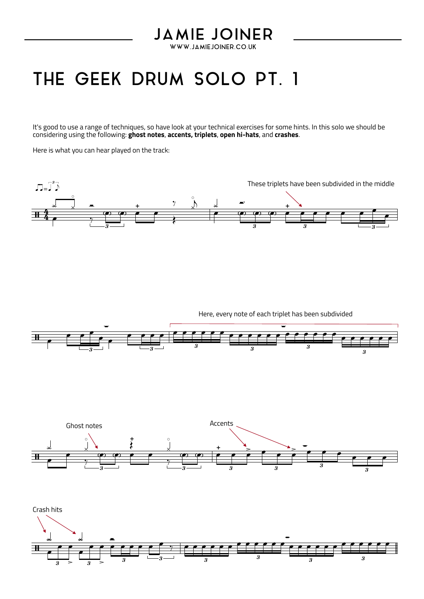## **JAMIE JOINER**

WWW.JAMIEJOINER.CO.UK

## THE GEEK DRUM SOLO PT. 1

It's good to use a range of techniques, so have look at your technical exercises for some hints. In this solo we should be considering using the following: **ghost notes**, **accents, triplets**, **open hi-hats**, and **crashes**.

Here is what you can hear played on the track:



Here, every note of each triplet has been subdivided





 $\mathbb{F}$  ,  $\mathbb{F}$ Crash hits  $>$   $\frac{1}{3}$  > 3  $3$   $\longrightarrow$ ∑  $3 > 3 >$  $3 \longrightarrow 3 \longrightarrow 3$ 3  $\overline{3}$   $\overline{3}$   $\overline{3}$  $\frac{1}{\sqrt{2}}$  $e$   $e$   $e$  $\frac{1}{\sqrt{2}}$  $e$   $e$   $e$   $e$ —<br><u>e e e e e <sup>e</sup> y l</u>e  $\bullet$  .  $\bullet$ ‰ œ œ œ œ œ œ œ œ œ œ œ œ œ œ œ œ œ œ **<del>๛๛๛๛๛๛๛</del>๛๛๛๛๛๛**